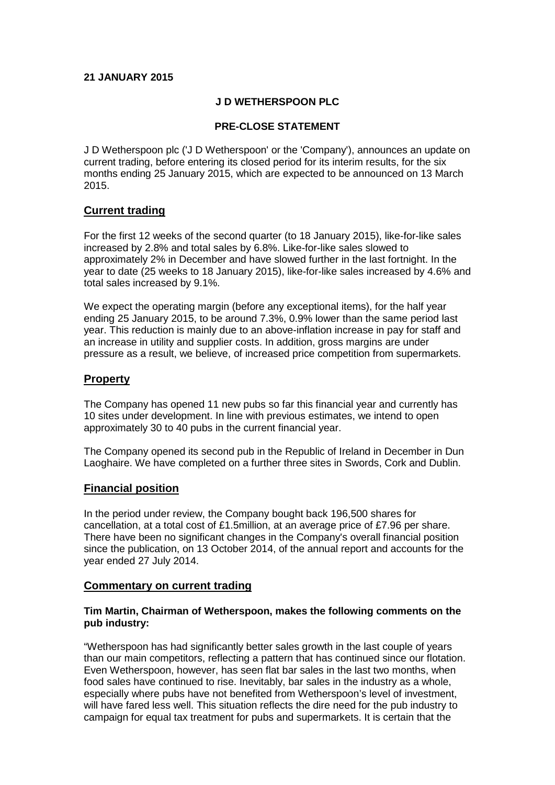#### **21 JANUARY 2015**

#### **J D WETHERSPOON PLC**

### **PRE-CLOSE STATEMENT**

J D Wetherspoon plc ('J D Wetherspoon' or the 'Company'), announces an update on current trading, before entering its closed period for its interim results, for the six months ending 25 January 2015, which are expected to be announced on 13 March 2015.

### **Current trading**

For the first 12 weeks of the second quarter (to 18 January 2015), like-for-like sales increased by 2.8% and total sales by 6.8%. Like-for-like sales slowed to approximately 2% in December and have slowed further in the last fortnight. In the year to date (25 weeks to 18 January 2015), like-for-like sales increased by 4.6% and total sales increased by 9.1%.

We expect the operating margin (before any exceptional items), for the half year ending 25 January 2015, to be around 7.3%, 0.9% lower than the same period last year. This reduction is mainly due to an above-inflation increase in pay for staff and an increase in utility and supplier costs. In addition, gross margins are under pressure as a result, we believe, of increased price competition from supermarkets.

# **Property**

The Company has opened 11 new pubs so far this financial year and currently has 10 sites under development. In line with previous estimates, we intend to open approximately 30 to 40 pubs in the current financial year.

The Company opened its second pub in the Republic of Ireland in December in Dun Laoghaire. We have completed on a further three sites in Swords, Cork and Dublin.

# **Financial position**

In the period under review, the Company bought back 196,500 shares for cancellation, at a total cost of £1.5million, at an average price of £7.96 per share. There have been no significant changes in the Company's overall financial position since the publication, on 13 October 2014, of the annual report and accounts for the year ended 27 July 2014.

#### **Commentary on current trading**

#### **Tim Martin, Chairman of Wetherspoon, makes the following comments on the pub industry:**

"Wetherspoon has had significantly better sales growth in the last couple of years than our main competitors, reflecting a pattern that has continued since our flotation. Even Wetherspoon, however, has seen flat bar sales in the last two months, when food sales have continued to rise. Inevitably, bar sales in the industry as a whole, especially where pubs have not benefited from Wetherspoon's level of investment, will have fared less well. This situation reflects the dire need for the pub industry to campaign for equal tax treatment for pubs and supermarkets. It is certain that the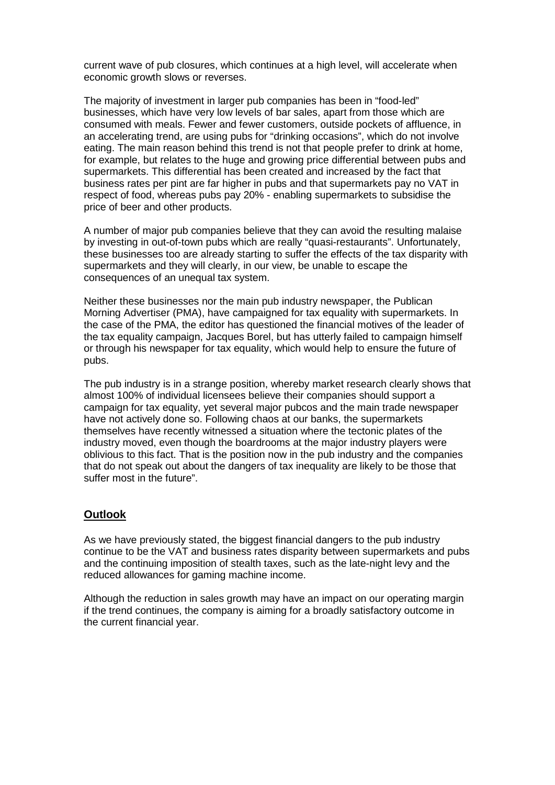current wave of pub closures, which continues at a high level, will accelerate when economic growth slows or reverses.

The majority of investment in larger pub companies has been in "food-led" businesses, which have very low levels of bar sales, apart from those which are consumed with meals. Fewer and fewer customers, outside pockets of affluence, in an accelerating trend, are using pubs for "drinking occasions", which do not involve eating. The main reason behind this trend is not that people prefer to drink at home, for example, but relates to the huge and growing price differential between pubs and supermarkets. This differential has been created and increased by the fact that business rates per pint are far higher in pubs and that supermarkets pay no VAT in respect of food, whereas pubs pay 20% - enabling supermarkets to subsidise the price of beer and other products.

A number of major pub companies believe that they can avoid the resulting malaise by investing in out-of-town pubs which are really "quasi-restaurants". Unfortunately, these businesses too are already starting to suffer the effects of the tax disparity with supermarkets and they will clearly, in our view, be unable to escape the consequences of an unequal tax system.

Neither these businesses nor the main pub industry newspaper, the Publican Morning Advertiser (PMA), have campaigned for tax equality with supermarkets. In the case of the PMA, the editor has questioned the financial motives of the leader of the tax equality campaign, Jacques Borel, but has utterly failed to campaign himself or through his newspaper for tax equality, which would help to ensure the future of pubs.

The pub industry is in a strange position, whereby market research clearly shows that almost 100% of individual licensees believe their companies should support a campaign for tax equality, yet several major pubcos and the main trade newspaper have not actively done so. Following chaos at our banks, the supermarkets themselves have recently witnessed a situation where the tectonic plates of the industry moved, even though the boardrooms at the major industry players were oblivious to this fact. That is the position now in the pub industry and the companies that do not speak out about the dangers of tax inequality are likely to be those that suffer most in the future".

#### **Outlook**

As we have previously stated, the biggest financial dangers to the pub industry continue to be the VAT and business rates disparity between supermarkets and pubs and the continuing imposition of stealth taxes, such as the late-night levy and the reduced allowances for gaming machine income.

Although the reduction in sales growth may have an impact on our operating margin if the trend continues, the company is aiming for a broadly satisfactory outcome in the current financial year.